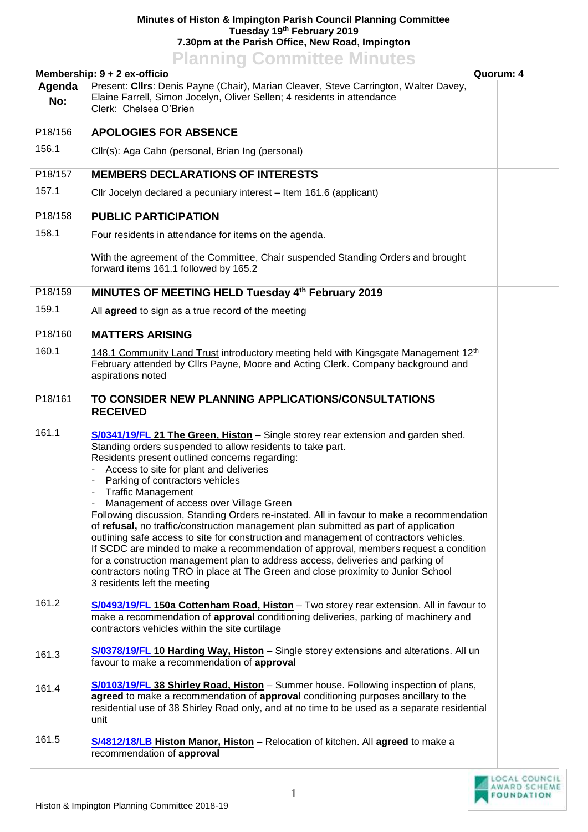## **Minutes of Histon & Impington Parish Council Planning Committee Tuesday 19th February 2019 7.30pm at the Parish Office, New Road, Impington Planning Committee Minutes**

| Membership: 9 + 2 ex-officio<br>Quorum: 4 |                                                                                                                                                                                                                                                                                                                                                                                                                                                                                                                                                                                                                                                                                                                                                                                                                                                                                                                                               |  |  |
|-------------------------------------------|-----------------------------------------------------------------------------------------------------------------------------------------------------------------------------------------------------------------------------------------------------------------------------------------------------------------------------------------------------------------------------------------------------------------------------------------------------------------------------------------------------------------------------------------------------------------------------------------------------------------------------------------------------------------------------------------------------------------------------------------------------------------------------------------------------------------------------------------------------------------------------------------------------------------------------------------------|--|--|
| Agenda<br>No:                             | Present: Cllrs: Denis Payne (Chair), Marian Cleaver, Steve Carrington, Walter Davey,<br>Elaine Farrell, Simon Jocelyn, Oliver Sellen; 4 residents in attendance<br>Clerk: Chelsea O'Brien                                                                                                                                                                                                                                                                                                                                                                                                                                                                                                                                                                                                                                                                                                                                                     |  |  |
| P18/156                                   | <b>APOLOGIES FOR ABSENCE</b>                                                                                                                                                                                                                                                                                                                                                                                                                                                                                                                                                                                                                                                                                                                                                                                                                                                                                                                  |  |  |
| 156.1                                     | Cllr(s): Aga Cahn (personal, Brian Ing (personal)                                                                                                                                                                                                                                                                                                                                                                                                                                                                                                                                                                                                                                                                                                                                                                                                                                                                                             |  |  |
| P18/157                                   | <b>MEMBERS DECLARATIONS OF INTERESTS</b>                                                                                                                                                                                                                                                                                                                                                                                                                                                                                                                                                                                                                                                                                                                                                                                                                                                                                                      |  |  |
| 157.1                                     | Cllr Jocelyn declared a pecuniary interest - Item 161.6 (applicant)                                                                                                                                                                                                                                                                                                                                                                                                                                                                                                                                                                                                                                                                                                                                                                                                                                                                           |  |  |
| P18/158                                   | <b>PUBLIC PARTICIPATION</b>                                                                                                                                                                                                                                                                                                                                                                                                                                                                                                                                                                                                                                                                                                                                                                                                                                                                                                                   |  |  |
| 158.1                                     | Four residents in attendance for items on the agenda.                                                                                                                                                                                                                                                                                                                                                                                                                                                                                                                                                                                                                                                                                                                                                                                                                                                                                         |  |  |
|                                           | With the agreement of the Committee, Chair suspended Standing Orders and brought<br>forward items 161.1 followed by 165.2                                                                                                                                                                                                                                                                                                                                                                                                                                                                                                                                                                                                                                                                                                                                                                                                                     |  |  |
| P18/159                                   | MINUTES OF MEETING HELD Tuesday 4th February 2019                                                                                                                                                                                                                                                                                                                                                                                                                                                                                                                                                                                                                                                                                                                                                                                                                                                                                             |  |  |
| 159.1                                     | All agreed to sign as a true record of the meeting                                                                                                                                                                                                                                                                                                                                                                                                                                                                                                                                                                                                                                                                                                                                                                                                                                                                                            |  |  |
| P18/160                                   | <b>MATTERS ARISING</b>                                                                                                                                                                                                                                                                                                                                                                                                                                                                                                                                                                                                                                                                                                                                                                                                                                                                                                                        |  |  |
| 160.1                                     | 148.1 Community Land Trust introductory meeting held with Kingsgate Management 12 <sup>th</sup><br>February attended by Cllrs Payne, Moore and Acting Clerk. Company background and<br>aspirations noted                                                                                                                                                                                                                                                                                                                                                                                                                                                                                                                                                                                                                                                                                                                                      |  |  |
| P18/161                                   | TO CONSIDER NEW PLANNING APPLICATIONS/CONSULTATIONS<br><b>RECEIVED</b>                                                                                                                                                                                                                                                                                                                                                                                                                                                                                                                                                                                                                                                                                                                                                                                                                                                                        |  |  |
| 161.1                                     | <b>S/0341/19/FL 21 The Green, Histon</b> – Single storey rear extension and garden shed.<br>Standing orders suspended to allow residents to take part.<br>Residents present outlined concerns regarding:<br>Access to site for plant and deliveries<br>Parking of contractors vehicles<br><b>Traffic Management</b><br>Management of access over Village Green<br>Following discussion, Standing Orders re-instated. All in favour to make a recommendation<br>of refusal, no traffic/construction management plan submitted as part of application<br>outlining safe access to site for construction and management of contractors vehicles.<br>If SCDC are minded to make a recommendation of approval, members request a condition<br>for a construction management plan to address access, deliveries and parking of<br>contractors noting TRO in place at The Green and close proximity to Junior School<br>3 residents left the meeting |  |  |
| 161.2                                     | S/0493/19/FL 150a Cottenham Road, Histon - Two storey rear extension. All in favour to<br>make a recommendation of approval conditioning deliveries, parking of machinery and<br>contractors vehicles within the site curtilage                                                                                                                                                                                                                                                                                                                                                                                                                                                                                                                                                                                                                                                                                                               |  |  |
| 161.3                                     | S/0378/19/FL 10 Harding Way, Histon - Single storey extensions and alterations. All un<br>favour to make a recommendation of approval                                                                                                                                                                                                                                                                                                                                                                                                                                                                                                                                                                                                                                                                                                                                                                                                         |  |  |
| 161.4                                     | S/0103/19/FL 38 Shirley Road, Histon - Summer house. Following inspection of plans,<br>agreed to make a recommendation of approval conditioning purposes ancillary to the<br>residential use of 38 Shirley Road only, and at no time to be used as a separate residential<br>unit                                                                                                                                                                                                                                                                                                                                                                                                                                                                                                                                                                                                                                                             |  |  |
| 161.5                                     | S/4812/18/LB Histon Manor, Histon - Relocation of kitchen. All agreed to make a<br>recommendation of approval                                                                                                                                                                                                                                                                                                                                                                                                                                                                                                                                                                                                                                                                                                                                                                                                                                 |  |  |